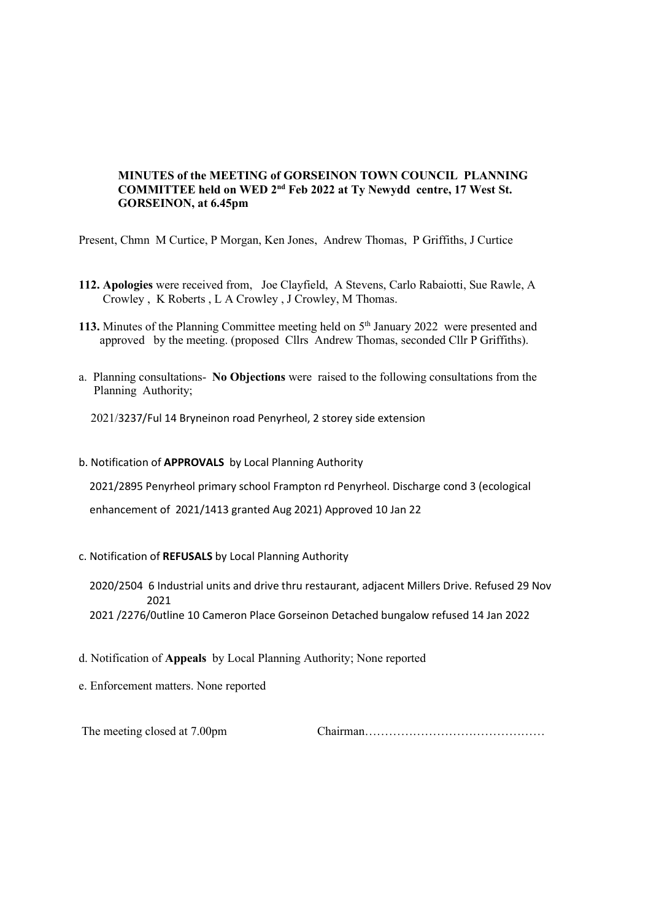### MINUTES of the MEETING of GORSEINON TOWN COUNCIL PLANNING COMMITTEE held on WED 2nd Feb 2022 at Ty Newydd centre, 17 West St. GORSEINON, at 6.45pm

Present, Chmn M Curtice, P Morgan, Ken Jones, Andrew Thomas, P Griffiths, J Curtice

- 112. Apologies were received from, Joe Clayfield, A Stevens, Carlo Rabaiotti, Sue Rawle, A Crowley , K Roberts , L A Crowley , J Crowley, M Thomas.
- 113. Minutes of the Planning Committee meeting held on 5<sup>th</sup> January 2022 were presented and approved by the meeting. (proposed Cllrs Andrew Thomas, seconded Cllr P Griffiths).
- a. Planning consultations- No Objections were raised to the following consultations from the Planning Authority;

2021/3237/Ful 14 Bryneinon road Penyrheol, 2 storey side extension

b. Notification of APPROVALS by Local Planning Authority

2021/2895 Penyrheol primary school Frampton rd Penyrheol. Discharge cond 3 (ecological

enhancement of 2021/1413 granted Aug 2021) Approved 10 Jan 22

### c. Notification of REFUSALS by Local Planning Authority

 2020/2504 6 Industrial units and drive thru restaurant, adjacent Millers Drive. Refused 29 Nov 2021

2021 /2276/0utline 10 Cameron Place Gorseinon Detached bungalow refused 14 Jan 2022

- d. Notification of Appeals by Local Planning Authority; None reported
- e. Enforcement matters. None reported

The meeting closed at 7.00pm Chairman………………………………………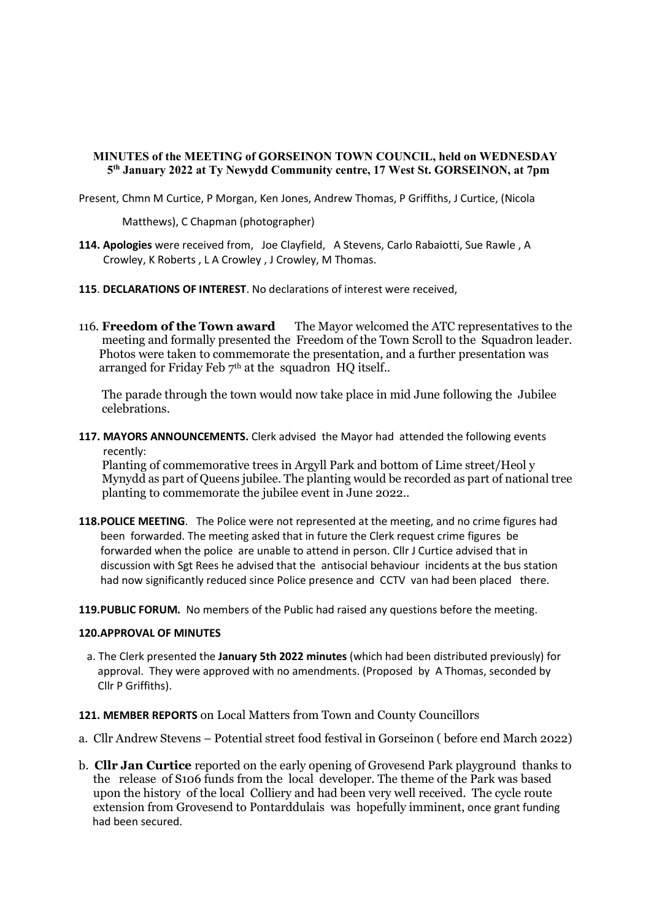# MINUTES of the MEETING of GORSEINON TOWN COUNCIL, held on WEDNESDAY 5th January 2022 at Ty Newydd Community centre, 17 West St. GORSEINON, at 7pm

Present, Chmn M Curtice, P Morgan, Ken Jones, Andrew Thomas, P Griffiths, J Curtice, (Nicola

Matthews), C Chapman (photographer)

- 114. Apologies were received from, Joe Clayfield, A Stevens, Carlo Rabaiotti, Sue Rawle, A Crowley, K Roberts , L A Crowley , J Crowley, M Thomas.
- 115. DECLARATIONS OF INTEREST. No declarations of interest were received,
- 116. Freedom of the Town award The Mayor welcomed the ATC representatives to the meeting and formally presented the Freedom of the Town Scroll to the Squadron leader. Photos were taken to commemorate the presentation, and a further presentation was arranged for Friday Feb 7<sup>th</sup> at the squadron HQ itself..

 The parade through the town would now take place in mid June following the Jubilee celebrations.

117. MAYORS ANNOUNCEMENTS. Clerk advised the Mayor had attended the following events recently:

 Planting of commemorative trees in Argyll Park and bottom of Lime street/Heol y Mynydd as part of Queens jubilee. The planting would be recorded as part of national tree planting to commemorate the jubilee event in June 2022..

- 118. POLICE MEETING. The Police were not represented at the meeting, and no crime figures had been forwarded. The meeting asked that in future the Clerk request crime figures be forwarded when the police are unable to attend in person. Cllr J Curtice advised that in discussion with Sgt Rees he advised that the antisocial behaviour incidents at the bus station had now significantly reduced since Police presence and CCTV van had been placed there.
- 119. PUBLIC FORUM. No members of the Public had raised any questions before the meeting.

#### 120.APPROVAL OF MINUTES

a. The Clerk presented the January 5th 2022 minutes (which had been distributed previously) for approval. They were approved with no amendments. (Proposed by A Thomas, seconded by Cllr P Griffiths).

### 121. MEMBER REPORTS on Local Matters from Town and County Councillors

- a. Cllr Andrew Stevens Potential street food festival in Gorseinon ( before end March 2022)
- b. Cllr Jan Curtice reported on the early opening of Grovesend Park playground thanks to the release of S106 funds from the local developer. The theme of the Park was based upon the history of the local Colliery and had been very well received. The cycle route extension from Grovesend to Pontarddulais was hopefully imminent, once grant funding had been secured.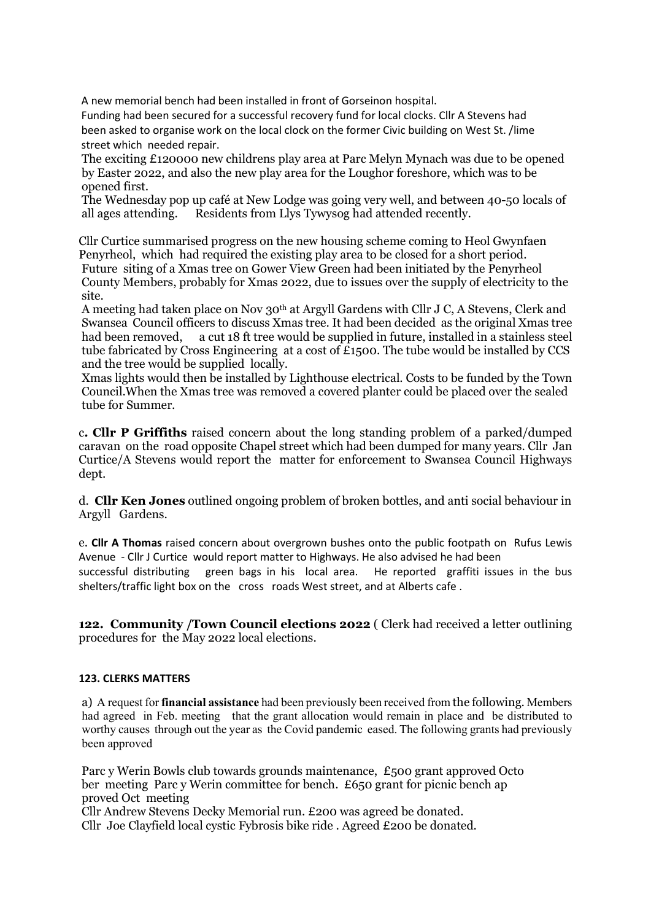A new memorial bench had been installed in front of Gorseinon hospital.

 Funding had been secured for a successful recovery fund for local clocks. Cllr A Stevens had been asked to organise work on the local clock on the former Civic building on West St. /lime street which needed repair.

 The exciting £120000 new childrens play area at Parc Melyn Mynach was due to be opened by Easter 2022, and also the new play area for the Loughor foreshore, which was to be opened first.

 The Wednesday pop up café at New Lodge was going very well, and between 40-50 locals of all ages attending. Residents from Llys Tywysog had attended recently.

Cllr Curtice summarised progress on the new housing scheme coming to Heol Gwynfaen Penyrheol, which had required the existing play area to be closed for a short period. Future siting of a Xmas tree on Gower View Green had been initiated by the Penyrheol County Members, probably for Xmas 2022, due to issues over the supply of electricity to the site.

 A meeting had taken place on Nov 30th at Argyll Gardens with Cllr J C, A Stevens, Clerk and Swansea Council officers to discuss Xmas tree. It had been decided as the original Xmas tree had been removed, a cut 18 ft tree would be supplied in future, installed in a stainless steel tube fabricated by Cross Engineering at a cost of £1500. The tube would be installed by CCS and the tree would be supplied locally.

 Xmas lights would then be installed by Lighthouse electrical. Costs to be funded by the Town Council.When the Xmas tree was removed a covered planter could be placed over the sealed tube for Summer.

c. Cllr P Griffiths raised concern about the long standing problem of a parked/dumped caravan on the road opposite Chapel street which had been dumped for many years. Cllr Jan Curtice/A Stevens would report the matter for enforcement to Swansea Council Highways dept.

d. Cllr Ken Jones outlined ongoing problem of broken bottles, and anti social behaviour in Argyll Gardens.

e. Cllr A Thomas raised concern about overgrown bushes onto the public footpath on Rufus Lewis Avenue - Cllr J Curtice would report matter to Highways. He also advised he had been successful distributing green bags in his local area. He reported graffiti issues in the bus shelters/traffic light box on the cross roads West street, and at Alberts cafe .

122. Community /Town Council elections 2022 ( Clerk had received a letter outlining procedures for the May 2022 local elections.

### 123. CLERKS MATTERS

a) A request for financial assistance had been previously been received from the following. Members had agreed in Feb. meeting that the grant allocation would remain in place and be distributed to worthy causes through out the year as the Covid pandemic eased. The following grants had previously been approved

 Parc y Werin Bowls club towards grounds maintenance, £500 grant approved Octo ber meeting Parc y Werin committee for bench. £650 grant for picnic bench ap proved Oct meeting Cllr Andrew Stevens Decky Memorial run. £200 was agreed be donated. Cllr Joe Clayfield local cystic Fybrosis bike ride . Agreed £200 be donated.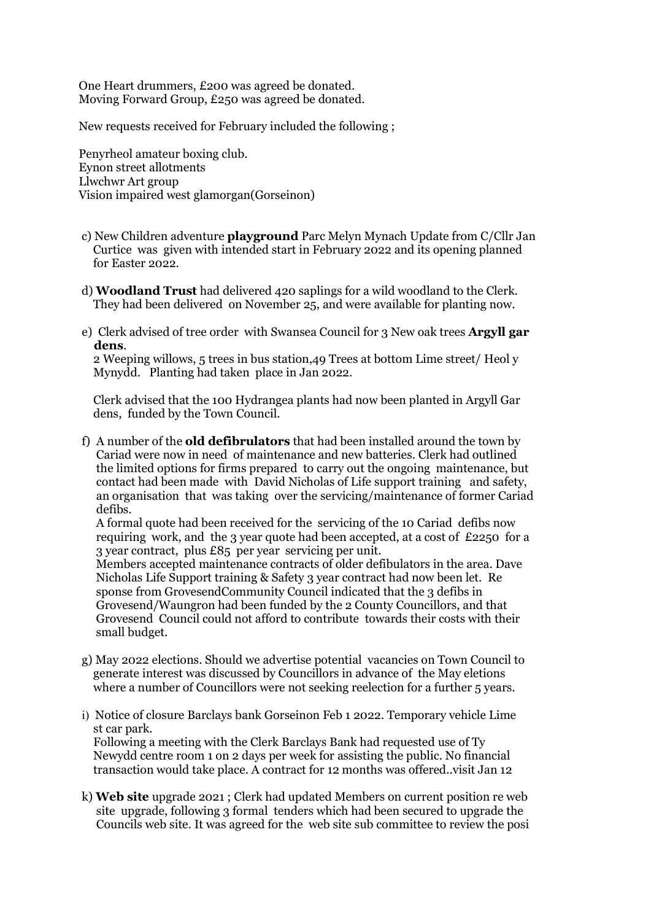One Heart drummers, £200 was agreed be donated. Moving Forward Group, £250 was agreed be donated.

New requests received for February included the following ;

Penyrheol amateur boxing club. Eynon street allotments Llwchwr Art group Vision impaired west glamorgan(Gorseinon)

- c) New Children adventure playground Parc Melyn Mynach Update from C/Cllr Jan Curtice was given with intended start in February 2022 and its opening planned for Easter 2022.
- d) Woodland Trust had delivered 420 saplings for a wild woodland to the Clerk. They had been delivered on November 25, and were available for planting now.
- e) Clerk advised of tree order with Swansea Council for 3 New oak trees **Argyll gar** dens.

 2 Weeping willows, 5 trees in bus station,49 Trees at bottom Lime street/ Heol y Mynydd. Planting had taken place in Jan 2022.

 Clerk advised that the 100 Hydrangea plants had now been planted in Argyll Gar dens, funded by the Town Council.

f) A number of the **old defibrulators** that had been installed around the town by Cariad were now in need of maintenance and new batteries. Clerk had outlined the limited options for firms prepared to carry out the ongoing maintenance, but contact had been made with David Nicholas of Life support training and safety, an organisation that was taking over the servicing/maintenance of former Cariad defibs.

 A formal quote had been received for the servicing of the 10 Cariad defibs now requiring work, and the 3 year quote had been accepted, at a cost of £2250 for a 3 year contract, plus £85 per year servicing per unit.

 Members accepted maintenance contracts of older defibulators in the area. Dave Nicholas Life Support training & Safety 3 year contract had now been let. Re sponse from GrovesendCommunity Council indicated that the 3 defibs in Grovesend/Waungron had been funded by the 2 County Councillors, and that Grovesend Council could not afford to contribute towards their costs with their small budget.

- g) May 2022 elections. Should we advertise potential vacancies on Town Council to generate interest was discussed by Councillors in advance of the May eletions where a number of Councillors were not seeking reelection for a further 5 years.
- i) Notice of closure Barclays bank Gorseinon Feb 1 2022. Temporary vehicle Lime st car park.

 Following a meeting with the Clerk Barclays Bank had requested use of Ty Newydd centre room 1 on 2 days per week for assisting the public. No financial transaction would take place. A contract for 12 months was offered..visit Jan 12

k) Web site upgrade 2021 ; Clerk had updated Members on current position re web site upgrade, following 3 formal tenders which had been secured to upgrade the Councils web site. It was agreed for the web site sub committee to review the posi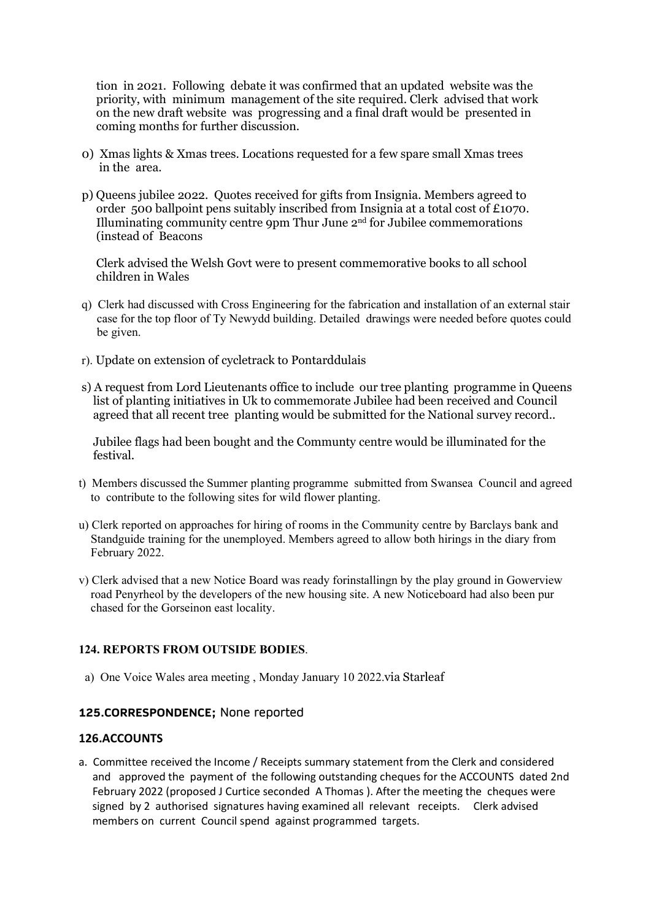tion in 2021. Following debate it was confirmed that an updated website was the priority, with minimum management of the site required. Clerk advised that work on the new draft website was progressing and a final draft would be presented in coming months for further discussion.

- 0) Xmas lights & Xmas trees. Locations requested for a few spare small Xmas trees in the area.
- p) Queens jubilee 2022. Quotes received for gifts from Insignia. Members agreed to order 500 ballpoint pens suitably inscribed from Insignia at a total cost of £1070. Illuminating community centre 9pm Thur June  $2<sup>nd</sup>$  for Jubilee commemorations (instead of Beacons

 Clerk advised the Welsh Govt were to present commemorative books to all school children in Wales

- q) Clerk had discussed with Cross Engineering for the fabrication and installation of an external stair case for the top floor of Ty Newydd building. Detailed drawings were needed before quotes could be given.
- r). Update on extension of cycletrack to Pontarddulais
- s) A request from Lord Lieutenants office to include our tree planting programme in Queens list of planting initiatives in Uk to commemorate Jubilee had been received and Council agreed that all recent tree planting would be submitted for the National survey record..

 Jubilee flags had been bought and the Communty centre would be illuminated for the festival.

- t) Members discussed the Summer planting programme submitted from Swansea Council and agreed to contribute to the following sites for wild flower planting.
- u) Clerk reported on approaches for hiring of rooms in the Community centre by Barclays bank and Standguide training for the unemployed. Members agreed to allow both hirings in the diary from February 2022.
- v) Clerk advised that a new Notice Board was ready forinstallingn by the play ground in Gowerview road Penyrheol by the developers of the new housing site. A new Noticeboard had also been pur chased for the Gorseinon east locality.

# 124. REPORTS FROM OUTSIDE BODIES.

a) One Voice Wales area meeting , Monday January 10 2022.via Starleaf

# 125.CORRESPONDENCE; None reported

### 126.ACCOUNTS

a. Committee received the Income / Receipts summary statement from the Clerk and considered and approved the payment of the following outstanding cheques for the ACCOUNTS dated 2nd February 2022 (proposed J Curtice seconded A Thomas ). After the meeting the cheques were signed by 2 authorised signatures having examined all relevant receipts. Clerk advised members on current Council spend against programmed targets.